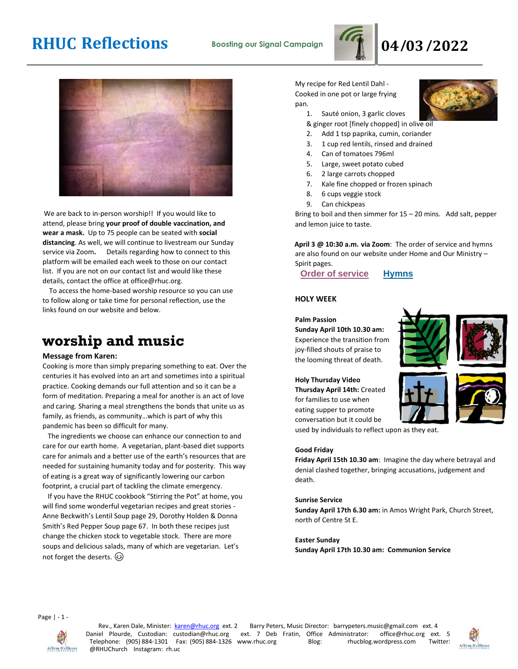



We are back to in-person worship!! If you would like to attend, please bring **your proof of double vaccination, and wear a mask.** Up to 75 people can be seated with **social distancing**. As well, we will continue to livestream our Sunday service via Zoom**.** Details regarding how to connect to this platform will be emailed each week to those on our contact list. If you are not on our contact list and would like these details, contact the office at office@rhuc.org.

 To access the home-based worship resource so you can use to follow along or take time for personal reflection, use the links found on our website and below.

### **worship and music**

#### **Message from Karen:**

Cooking is more than simply preparing something to eat. Over the centuries it has evolved into an art and sometimes into a spiritual practice. Cooking demands our full attention and so it can be a form of meditation. Preparing a meal for another is an act of love and caring. Sharing a meal strengthens the bonds that unite us as family, as friends, as community…which is part of why this pandemic has been so difficult for many.

 The ingredients we choose can enhance our connection to and care for our earth home. A vegetarian, plant-based diet supports care for animals and a better use of the earth's resources that are needed for sustaining humanity today and for posterity. This way of eating is a great way of significantly lowering our carbon footprint, a crucial part of tackling the climate emergency.

 If you have the RHUC cookbook "Stirring the Pot" at home, you will find some wonderful vegetarian recipes and great stories - Anne Beckwith's Lentil Soup page 29, Dorothy Holden & Donna Smith's Red Pepper Soup page 67. In both these recipes just change the chicken stock to vegetable stock. There are more soups and delicious salads, many of which are vegetarian. Let's not forget the deserts.

My recipe for Red Lentil Dahl - Cooked in one pot or large frying pan.

1. Sauté onion, 3 garlic cloves

& ginger root [finely chopped] in olive oil

- 2. Add 1 tsp paprika, cumin, coriander
- 3. 1 cup red lentils, rinsed and drained
- 4. Can of tomatoes 796ml
- 5. Large, sweet potato cubed
- 6. 2 large carrots chopped
- 7. Kale fine chopped or frozen spinach
- 8. 6 cups veggie stock
- 9. Can chickpeas

Bring to boil and then simmer for 15 – 20 mins. Add salt, pepper and lemon juice to taste.

**April 3 @ 10:30 a.m. via Zoom**: The order of service and hymns are also found on our website under Home and Our Ministry – Spirit pages.

**Order of [service](http://rhuc.org/April%203%20OofS.pdf) [Hymns](http://rhuc.org/Hymns%20for%202022%2004%2003.pdf)**

#### **HOLY WEEK**

**Palm Passion Sunday April 10th 10.30 am:** Experience the transition from joy-filled shouts of praise to the looming threat of death.

**Holy Thursday Video Thursday April 14th:** Created for families to use when eating supper to promote conversation but it could be









used by individuals to reflect upon as they eat.

#### **Good Friday**

**Friday April 15th 10.30 am**: Imagine the day where betrayal and denial clashed together, bringing accusations, judgement and death.

#### **Sunrise Service**

**Sunday April 17th 6.30 am:** in Amos Wright Park, Church Street, north of Centre St E.

**Easter Sunday Sunday April 17th 10.30 am: Communion Service**

Page | - 1 -



Rev., Karen Dale, Minister: karen@rhuc.org ext. 2 Barry Peters, Music Director: barrypeters.music@gmail.com ext. 4 Daniel Plourde, Custodian: custodian@rhuc.org ext. 7 Deb Fratin, Office Administrator: office@rhuc.org ext ext. 7 Deb Fratin, Office Administrator: office@rhuc.org ext. 5<br>www.rhuc.org Blog: hucblog.wordpress.com Twitter: Telephone: (905) 884-1301 Fax: (905) 884-1326 www.rhuc.org Blog: rhucblog.wordpress.com @RHUChurch Instagram: rh.uc

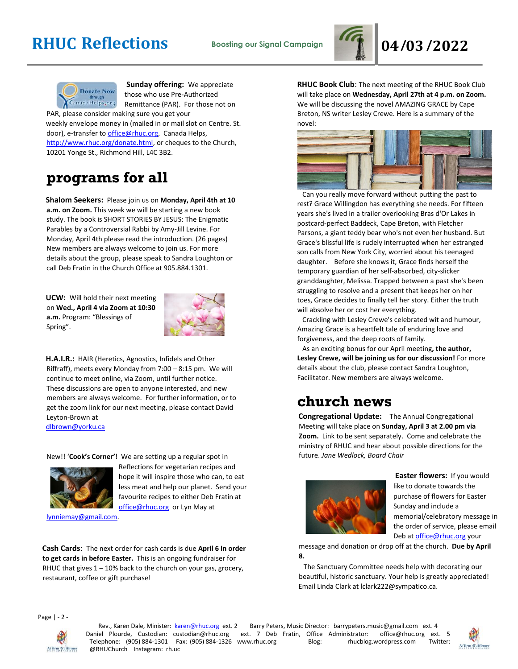



**Sunday offering:** We appreciate those who use Pre-Authorized Remittance (PAR). For those not on

PAR, please consider making sure you get your weekly envelope money in (mailed in or mail slot on Centre. St. door), e-transfer to office@rhuc.org, Canada Helps, [http://www.rhuc.org/donate.html,](http://www.rhuc.org/donate.html) or cheques to the Church, 10201 Yonge St., Richmond Hill, L4C 3B2.

## **programs for all**

**Shalom Seekers:** Please join us on **Monday, April 4th at 10 a.m. on Zoom.** This week we will be starting a new book study. The book is SHORT STORIES BY JESUS: The Enigmatic Parables by a Controversial Rabbi by Amy-Jill Levine. For Monday, April 4th please read the introduction. (26 pages) New members are always welcome to join us. For more details about the group, please speak to Sandra Loughton or call Deb Fratin in the Church Office at 905.884.1301.

**UCW:** Will hold their next meeting on **Wed., April 4 via Zoom at 10:30 a.m.** Program: "Blessings of Spring".



**H.A.I.R.:** HAIR (Heretics, Agnostics, Infidels and Other Riffraff), meets every Monday from 7:00 – 8:15 pm. We will continue to meet online, via Zoom, until further notice. These discussions are open to anyone interested, and new members are always welcome. For further information, or to get the zoom link for our next meeting, please contact David Leyton-Brown at dlbrown@yorku.ca

New!! '**Cook's Corner'**! We are setting up a regular spot in



Reflections for vegetarian recipes and hope it will inspire those who can, to eat less meat and help our planet. Send your favourite recipes to either Deb Fratin at [office@rhuc.org](mailto:office@rhuc.org) or Lyn May at

[lynniemay@gmail.com.](mailto:lynniemay@gmail.com)

**Cash Cards**: The next order for cash cards is due **April 6 in order to get cards in before Easter.** This is an ongoing fundraiser for RHUC that gives  $1 - 10\%$  back to the church on your gas, grocery, restaurant, coffee or gift purchase!

**RHUC Book Club**: The next meeting of the RHUC Book Club will take place on **Wednesday, April 27th at 4 p.m. on Zoom.** We will be discussing the novel AMAZING GRACE by Cape Breton, NS writer Lesley Crewe. Here is a summary of the novel:



 Can you really move forward without putting the past to rest? Grace Willingdon has everything she needs. For fifteen years she's lived in a trailer overlooking Bras d'Or Lakes in postcard-perfect Baddeck, Cape Breton, with Fletcher Parsons, a giant teddy bear who's not even her husband. But Grace's blissful life is rudely interrupted when her estranged son calls from New York City, worried about his teenaged daughter. Before she knows it, Grace finds herself the temporary guardian of her self-absorbed, city-slicker granddaughter, Melissa. Trapped between a past she's been struggling to resolve and a present that keeps her on her toes, Grace decides to finally tell her story. Either the truth will absolve her or cost her everything.

 Crackling with Lesley Crewe's celebrated wit and humour, Amazing Grace is a heartfelt tale of enduring love and forgiveness, and the deep roots of family.

 As an exciting bonus for our April meeting**, the author, Lesley Crewe, will be joining us for our discussion!** For more details about the club, please contact Sandra Loughton, Facilitator. New members are always welcome.

### **church news**

**Congregational Update:** The Annual Congregational Meeting will take place on **Sunday, April 3 at 2.00 pm via Zoom.** Link to be sent separately. Come and celebrate the ministry of RHUC and hear about possible directions for the future. *Jane Wedlock, Board Chair* 



**Easter flowers:** If you would like to donate towards the purchase of flowers for Easter Sunday and include a memorial/celebratory message in the order of service, please email Deb a[t office@rhuc.org](mailto:office@rhuc.org) your

message and donation or drop off at the church. **Due by April 8.**

 The Sanctuary Committee needs help with decorating our beautiful, historic sanctuary. Your help is greatly appreciated! Email Linda Clark at lclark222@sympatico.ca.

Page | - 2 -



Rev., Karen Dale, Minister: karen@rhuc.org ext. 2 Barry Peters, Music Director: barrypeters.music@gmail.com ext. 4 Daniel Plourde, Custodian: custodian@rhuc.org ext. 7 Deb Fratin, Office Administrator: office@rhuc.org ext ext. 7 Deb Fratin, Office Administrator: office@rhuc.org ext. 5<br>www.rhuc.org Blog: hucblog.wordpress.com Twitter: Telephone: (905) 884-1301 Fax: (905) 884-1326 www.rhuc.org @RHUChurch Instagram: rh.uc

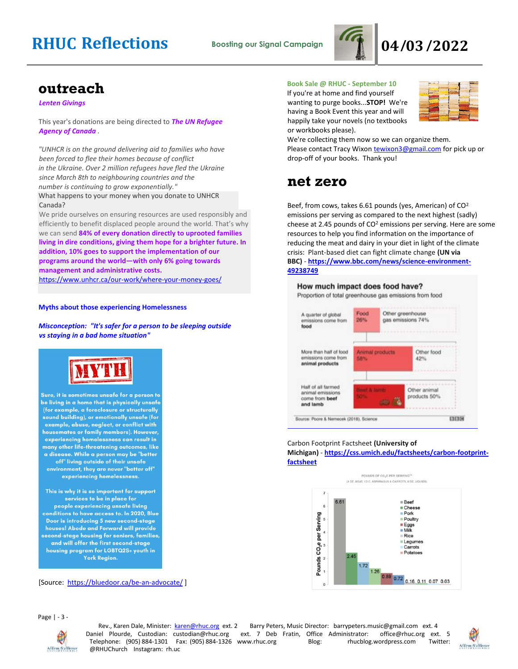

### **outreach**

*Lenten Givings*

This year's donations are being directed to *The UN Refugee Agency of Canada .*

*"UNHCR is on the ground delivering aid to families who have been forced to flee their homes because of conflict in the Ukraine. Over 2 million refugees have fled the Ukraine since March 8th to neighbouring countries and the number is continuing to grow exponentially."* What happens to your money when you donate to UNHCR Canada?

We pride ourselves on ensuring resources are used responsibly and efficiently to benefit displaced people around the world. That's why we can send **84% of every donation directly to uprooted families living in dire conditions, giving them hope for a brighter future. In addition, 10% goes to support the implementation of our programs around the world—with only 6% going towards management and administrative costs.**

<https://www.unhcr.ca/our-work/where-your-money-goes/>

#### **Myths about those experiencing Homelessness**

*Misconception: "It's safer for a person to be sleeping outside vs staying in a bad home situation"*



Sure, it is sometimes unsafe for a person to be living in a home that is physically unsafe (for example, a foreclosure or structurally sound building), or emotionally unsafe (for example, abuse, neglect, or conflict with housemates or family members). However, experiencing homelessness can result in many other life-threatening outcomes, like a disease. While a person may be "better off" living outside of their unsafe environment, they are never "better off" experiencing homelessness.

This is why it is so important for support services to be in place for people experiencing unsafe living conditions to have access to. In 2020, Blue Door is introducing 5 new second-stage houses! Abode and Forward will provide second-stage housing for seniors, families, and will offer the first second-stage housing program for LGBTQ2S+ youth in York Region.

[Source: <https://bluedoor.ca/be-an-advocate/> ]

### **Book Sale @ RHUC - September 10**

If you're at home and find yourself wanting to purge books...**STOP!** We're having a Book Event this year and will happily take your novels (no textbooks or workbooks please).



We're collecting them now so we can organize them. Please contact Tracy Wixon [tewixon3@gmail.com](mailto:tewixon3@gmail.com) for pick up or drop-off of your books. Thank you!

### **net zero**

Beef, from cows, takes 6.61 pounds (yes, American) of CO<sup>2</sup> emissions per serving as compared to the next highest (sadly) cheese at 2.45 pounds of  $CO<sup>2</sup>$  emissions per serving. Here are some resources to help you find information on the importance of reducing the meat and dairy in your diet in light of the climate crisis: Plant-based diet can fight climate change **(UN via BBC)** - **[https://www.bbc.com/news/science-environment-](https://www.bbc.com/news/science-environment-49238749)[49238749](https://www.bbc.com/news/science-environment-49238749)**

#### How much impact does food have?

Proportion of total greenhouse gas emissions from food



#### Carbon Footprint Factsheet **(University of Michigan)** - **[https://css.umich.edu/factsheets/carbon-footprint](https://css.umich.edu/factsheets/carbon-footprint-f#actsheet)[factsheet](https://css.umich.edu/factsheets/carbon-footprint-f#actsheet)**



Page | - 3 -



Rev., Karen Dale, Minister: karen@rhuc.org ext. 2 Barry Peters, Music Director: barrypeters.music@gmail.com ext. 4 Daniel Plourde, Custodian: custodian@rhuc.org ext. 7 Deb Fratin, Office Administrator: office@rhuc.org ext. 5<br>Telephone: (905) 884-1301 Fax: (905) 884-1326 www.rhuc.org Blog: rhucblog.wordpress.com Twitter: Telephone: (905) 884-1301 Fax: (905) 884-1326 www.rhuc.org @RHUChurch Instagram: rh.uc